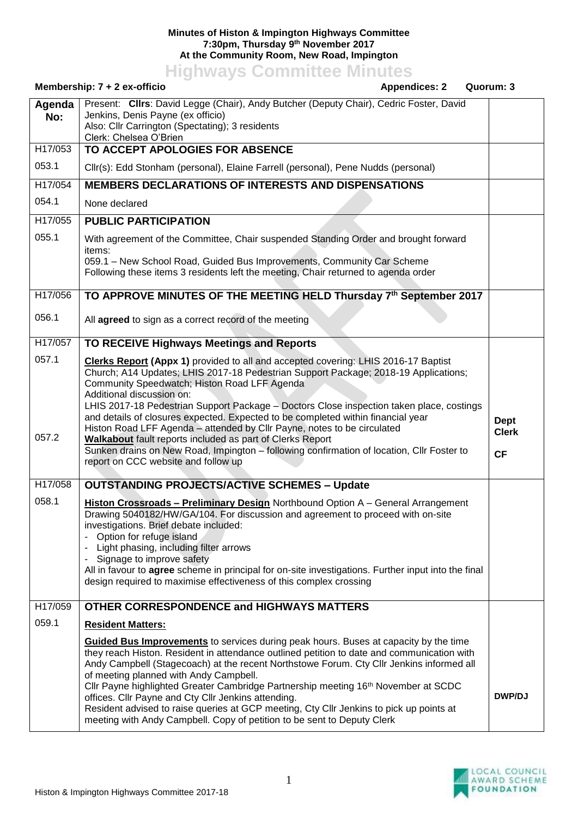## **Minutes of Histon & Impington Highways Committee 7:30pm, Thursday 9 th November 2017 At the Community Room, New Road, Impington**

**Highways Committee Minutes**

## **Membership: 7 + 2 ex-officio Appendices: 2 Quorum: 3 Agenda No:** Present: **Cllrs**: David Legge (Chair), Andy Butcher (Deputy Chair), Cedric Foster, David Jenkins, Denis Payne (ex officio) Also: Cllr Carrington (Spectating); 3 residents Clerk: Chelsea O'Brien H17/053 053.1 **TO ACCEPT APOLOGIES FOR ABSENCE** Cllr(s): Edd Stonham (personal), Elaine Farrell (personal), Pene Nudds (personal) H17/054 054.1 **MEMBERS DECLARATIONS OF INTERESTS AND DISPENSATIONS** None declared H17/055 055.1 **PUBLIC PARTICIPATION** With agreement of the Committee, Chair suspended Standing Order and brought forward items: 059.1 – New School Road, Guided Bus Improvements, Community Car Scheme Following these items 3 residents left the meeting, Chair returned to agenda order H17/056 056.1 **TO APPROVE MINUTES OF THE MEETING HELD Thursday 7 th September 2017** All **agreed** to sign as a correct record of the meeting H17/057 057.1 057.2 **TO RECEIVE Highways Meetings and Reports Clerks Report (Appx 1)** provided to all and accepted covering: LHIS 2016-17 Baptist Church; A14 Updates; LHIS 2017-18 Pedestrian Support Package; 2018-19 Applications; Community Speedwatch; Histon Road LFF Agenda Additional discussion on: LHIS 2017-18 Pedestrian Support Package – Doctors Close inspection taken place, costings and details of closures expected. Expected to be completed within financial year Histon Road LFF Agenda – attended by Cllr Payne, notes to be circulated **Walkabout** fault reports included as part of Clerks Report Sunken drains on New Road, Impington – following confirmation of location, Cllr Foster to report on CCC website and follow up **Dept Clerk CF** H17/058 058.1 **OUTSTANDING PROJECTS/ACTIVE SCHEMES – Update Histon Crossroads – Preliminary Design** Northbound Option A – General Arrangement Drawing 5040182/HW/GA/104. For discussion and agreement to proceed with on-site investigations. Brief debate included: Option for refuge island Light phasing, including filter arrows Signage to improve safety All in favour to **agree** scheme in principal for on-site investigations. Further input into the final design required to maximise effectiveness of this complex crossing H17/059 059.1 **OTHER CORRESPONDENCE and HIGHWAYS MATTERS Resident Matters: Guided Bus Improvements** to services during peak hours. Buses at capacity by the time they reach Histon. Resident in attendance outlined petition to date and communication with Andy Campbell (Stagecoach) at the recent Northstowe Forum. Cty Cllr Jenkins informed all of meeting planned with Andy Campbell. Cllr Payne highlighted Greater Cambridge Partnership meeting 16th November at SCDC offices. Cllr Payne and Cty Cllr Jenkins attending. Resident advised to raise queries at GCP meeting, Cty Cllr Jenkins to pick up points at meeting with Andy Campbell. Copy of petition to be sent to Deputy Clerk **DWP/DJ**